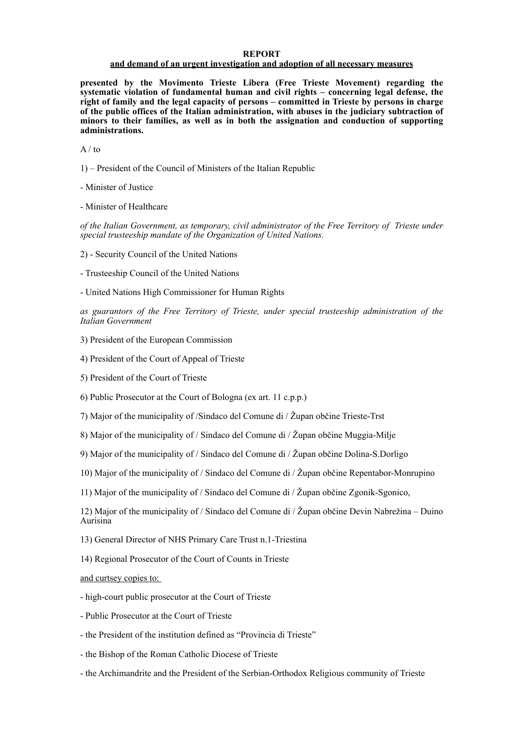#### **REPORT**

## **and demand of an urgent investigation and adoption of all necessary measures**

**presented by the Movimento Trieste Libera (Free Trieste Movement) regarding the systematic violation of fundamental human and civil rights – concerning legal defense, the right of family and the legal capacity of persons – committed in Trieste by persons in charge of the public offices of the Italian administration, with abuses in the judiciary subtraction of minors to their families, as well as in both the assignation and conduction of supporting administrations.**

 $A / to$ 

1) – President of the Council of Ministers of the Italian Republic

- Minister of Justice

- Minister of Healthcare

*of the Italian Government, as temporary, civil administrator of the Free Territory of Trieste under special trusteeship mandate of the Organization of United Nations.* 

2) - Security Council of the United Nations

- Trusteeship Council of the United Nations

- United Nations High Commissioner for Human Rights

*as guarantors of the Free Territory of Trieste, under special trusteeship administration of the Italian Government*

3) President of the European Commission

4) President of the Court of Appeal of Trieste

5) President of the Court of Trieste

6) Public Prosecutor at the Court of Bologna (ex art. 11 c.p.p.)

7) Major of the municipality of /Sindaco del Comune di / Župan občine Trieste-Trst

8) Major of the municipality of / Sindaco del Comune di / Župan občine Muggia-Milje

9) Major of the municipality of / Sindaco del Comune di / Župan občine Dolina-S.Dorligo

10) Major of the municipality of / Sindaco del Comune di / Župan občine Repentabor-Monrupino

11) Major of the municipality of / Sindaco del Comune di / Župan občine Zgonik-Sgonico,

12) Major of the municipality of / Sindaco del Comune di / Župan občine Devin Nabrežina – Duino Aurisina

13) General Director of NHS Primary Care Trust n.1-Triestina

14) Regional Prosecutor of the Court of Counts in Trieste

and curtsey copies to:

- high-court public prosecutor at the Court of Trieste
- Public Prosecutor at the Court of Trieste

- the President of the institution defined as "Provincia di Trieste"

- the Bishop of the Roman Catholic Diocese of Trieste
- the Archimandrite and the President of the Serbian-Orthodox Religious community of Trieste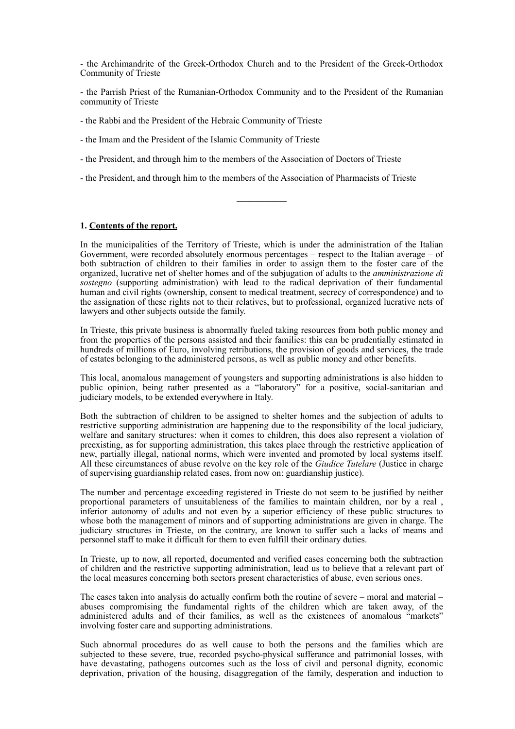- the Archimandrite of the Greek-Orthodox Church and to the President of the Greek-Orthodox Community of Trieste

- the Parrish Priest of the Rumanian-Orthodox Community and to the President of the Rumanian community of Trieste

- the Rabbi and the President of the Hebraic Community of Trieste

- the Imam and the President of the Islamic Community of Trieste

- the President, and through him to the members of the Association of Doctors of Trieste

- the President, and through him to the members of the Association of Pharmacists of Trieste

 $\frac{1}{2}$ 

## **1. Contents of the report.**

In the municipalities of the Territory of Trieste, which is under the administration of the Italian Government, were recorded absolutely enormous percentages – respect to the Italian average – of both subtraction of children to their families in order to assign them to the foster care of the organized, lucrative net of shelter homes and of the subjugation of adults to the *amministrazione di sostegno* (supporting administration) with lead to the radical deprivation of their fundamental human and civil rights (ownership, consent to medical treatment, secrecy of correspondence) and to the assignation of these rights not to their relatives, but to professional, organized lucrative nets of lawyers and other subjects outside the family.

In Trieste, this private business is abnormally fueled taking resources from both public money and from the properties of the persons assisted and their families: this can be prudentially estimated in hundreds of millions of Euro, involving retributions, the provision of goods and services, the trade of estates belonging to the administered persons, as well as public money and other benefits.

This local, anomalous management of youngsters and supporting administrations is also hidden to public opinion, being rather presented as a "laboratory" for a positive, social-sanitarian and judiciary models, to be extended everywhere in Italy.

Both the subtraction of children to be assigned to shelter homes and the subjection of adults to restrictive supporting administration are happening due to the responsibility of the local judiciary, welfare and sanitary structures: when it comes to children, this does also represent a violation of preexisting, as for supporting administration, this takes place through the restrictive application of new, partially illegal, national norms, which were invented and promoted by local systems itself. All these circumstances of abuse revolve on the key role of the *Giudice Tutelare* (Justice in charge of supervising guardianship related cases, from now on: guardianship justice).

The number and percentage exceeding registered in Trieste do not seem to be justified by neither proportional parameters of unsuitableness of the families to maintain children, nor by a real , inferior autonomy of adults and not even by a superior efficiency of these public structures to whose both the management of minors and of supporting administrations are given in charge. The judiciary structures in Trieste, on the contrary, are known to suffer such a lacks of means and personnel staff to make it difficult for them to even fulfill their ordinary duties.

In Trieste, up to now, all reported, documented and verified cases concerning both the subtraction of children and the restrictive supporting administration, lead us to believe that a relevant part of the local measures concerning both sectors present characteristics of abuse, even serious ones.

The cases taken into analysis do actually confirm both the routine of severe – moral and material – abuses compromising the fundamental rights of the children which are taken away, of the administered adults and of their families, as well as the existences of anomalous "markets" involving foster care and supporting administrations.

Such abnormal procedures do as well cause to both the persons and the families which are subjected to these severe, true, recorded psycho-physical sufferance and patrimonial losses, with have devastating, pathogens outcomes such as the loss of civil and personal dignity, economic deprivation, privation of the housing, disaggregation of the family, desperation and induction to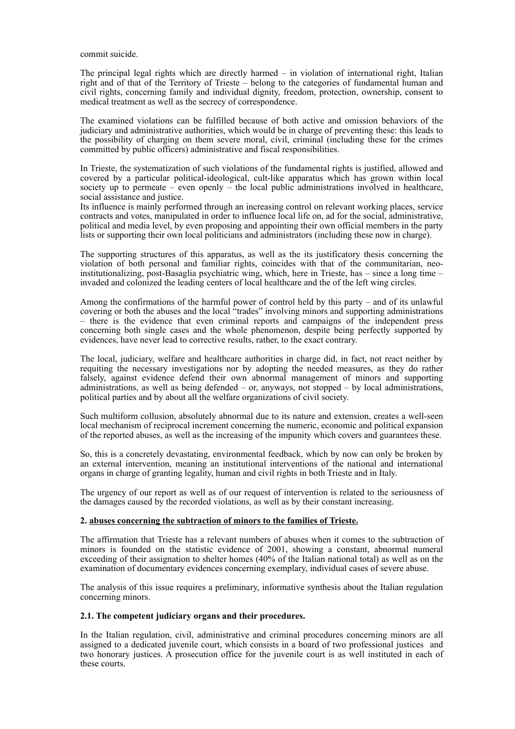commit suicide.

The principal legal rights which are directly harmed – in violation of international right, Italian right and of that of the Territory of Trieste – belong to the categories of fundamental human and civil rights, concerning family and individual dignity, freedom, protection, ownership, consent to medical treatment as well as the secrecy of correspondence.

The examined violations can be fulfilled because of both active and omission behaviors of the judiciary and administrative authorities, which would be in charge of preventing these: this leads to the possibility of charging on them severe moral, civil, criminal (including these for the crimes committed by public officers) administrative and fiscal responsibilities.

In Trieste, the systematization of such violations of the fundamental rights is justified, allowed and covered by a particular political-ideological, cult-like apparatus which has grown within local society up to permeate – even openly – the local public administrations involved in healthcare, social assistance and justice.

Its influence is mainly performed through an increasing control on relevant working places, service contracts and votes, manipulated in order to influence local life on, ad for the social, administrative, political and media level, by even proposing and appointing their own official members in the party lists or supporting their own local politicians and administrators (including these now in charge).

The supporting structures of this apparatus, as well as the its justificatory thesis concerning the violation of both personal and familiar rights, coincides with that of the communitarian, neoinstitutionalizing, post-Basaglia psychiatric wing, which, here in Trieste, has – since a long time – invaded and colonized the leading centers of local healthcare and the of the left wing circles.

Among the confirmations of the harmful power of control held by this party – and of its unlawful covering or both the abuses and the local "trades" involving minors and supporting administrations – there is the evidence that even criminal reports and campaigns of the independent press concerning both single cases and the whole phenomenon, despite being perfectly supported by evidences, have never lead to corrective results, rather, to the exact contrary.

The local, judiciary, welfare and healthcare authorities in charge did, in fact, not react neither by requiting the necessary investigations nor by adopting the needed measures, as they do rather falsely, against evidence defend their own abnormal management of minors and supporting administrations, as well as being defended – or, anyways, not stopped – by local administrations, political parties and by about all the welfare organizations of civil society.

Such multiform collusion, absolutely abnormal due to its nature and extension, creates a well-seen local mechanism of reciprocal increment concerning the numeric, economic and political expansion of the reported abuses, as well as the increasing of the impunity which covers and guarantees these.

So, this is a concretely devastating, environmental feedback, which by now can only be broken by an external intervention, meaning an institutional interventions of the national and international organs in charge of granting legality, human and civil rights in both Trieste and in Italy.

The urgency of our report as well as of our request of intervention is related to the seriousness of the damages caused by the recorded violations, as well as by their constant increasing.

# **2. abuses concerning the subtraction of minors to the families of Trieste.**

The affirmation that Trieste has a relevant numbers of abuses when it comes to the subtraction of minors is founded on the statistic evidence of 2001, showing a constant, abnormal numeral exceeding of their assignation to shelter homes (40% of the Italian national total) as well as on the examination of documentary evidences concerning exemplary, individual cases of severe abuse.

The analysis of this issue requires a preliminary, informative synthesis about the Italian regulation concerning minors.

# **2.1. The competent judiciary organs and their procedures.**

In the Italian regulation, civil, administrative and criminal procedures concerning minors are all assigned to a dedicated juvenile court, which consists in a board of two professional justices and two honorary justices. A prosecution office for the juvenile court is as well instituted in each of these courts.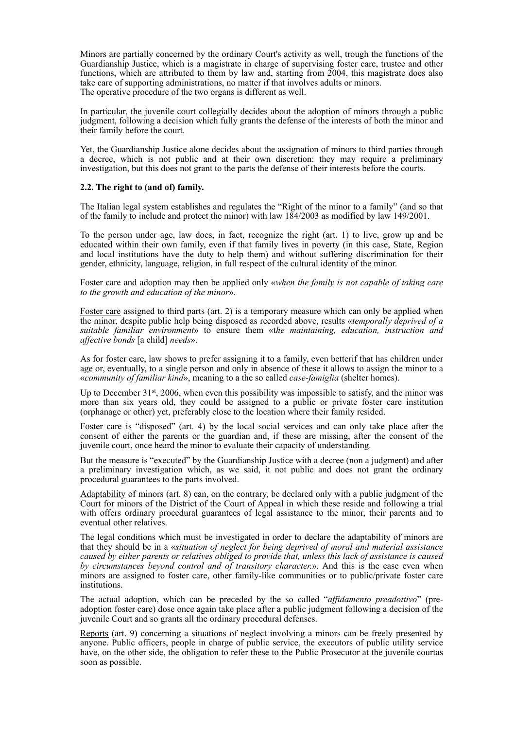Minors are partially concerned by the ordinary Court's activity as well, trough the functions of the Guardianship Justice, which is a magistrate in charge of supervising foster care, trustee and other functions, which are attributed to them by law and, starting from 2004, this magistrate does also take care of supporting administrations, no matter if that involves adults or minors. The operative procedure of the two organs is different as well.

In particular, the juvenile court collegially decides about the adoption of minors through a public judgment, following a decision which fully grants the defense of the interests of both the minor and their family before the court.

Yet, the Guardianship Justice alone decides about the assignation of minors to third parties through a decree, which is not public and at their own discretion: they may require a preliminary investigation, but this does not grant to the parts the defense of their interests before the courts.

# **2.2. The right to (and of) family.**

The Italian legal system establishes and regulates the "Right of the minor to a family" (and so that of the family to include and protect the minor) with law 184/2003 as modified by law 149/2001.

To the person under age, law does, in fact, recognize the right (art. 1) to live, grow up and be educated within their own family, even if that family lives in poverty (in this case, State, Region and local institutions have the duty to help them) and without suffering discrimination for their gender, ethnicity, language, religion, in full respect of the cultural identity of the minor.

Foster care and adoption may then be applied only «*when the family is not capable of taking care to the growth and education of the minor*».

Foster care assigned to third parts (art. 2) is a temporary measure which can only be applied when the minor, despite public help being disposed as recorded above, results «*temporally deprived of a suitable familiar environment*» to ensure them «t*he maintaining, education, instruction and affective bonds* [a child] *needs*».

As for foster care, law shows to prefer assigning it to a family, even betterif that has children under age or, eventually, to a single person and only in absence of these it allows to assign the minor to a «*community of familiar kind*», meaning to a the so called *case-famiglia* (shelter homes).

Up to December 31<sup>st</sup>, 2006, when even this possibility was impossible to satisfy, and the minor was more than six years old, they could be assigned to a public or private foster care institution (orphanage or other) yet, preferably close to the location where their family resided.

Foster care is "disposed" (art. 4) by the local social services and can only take place after the consent of either the parents or the guardian and, if these are missing, after the consent of the juvenile court, once heard the minor to evaluate their capacity of understanding.

But the measure is "executed" by the Guardianship Justice with a decree (non a judgment) and after a preliminary investigation which, as we said, it not public and does not grant the ordinary procedural guarantees to the parts involved.

Adaptability of minors (art. 8) can, on the contrary, be declared only with a public judgment of the Court for minors of the District of the Court of Appeal in which these reside and following a trial with offers ordinary procedural guarantees of legal assistance to the minor, their parents and to eventual other relatives.

The legal conditions which must be investigated in order to declare the adaptability of minors are that they should be in a «*situation of neglect for being deprived of moral and material assistance caused by either parents or relatives obliged to provide that, unless this lack of assistance is caused by circumstances beyond control and of transitory character.*». And this is the case even when minors are assigned to foster care, other family-like communities or to public/private foster care institutions.

The actual adoption, which can be preceded by the so called "*affidamento preadottivo*" (preadoption foster care) dose once again take place after a public judgment following a decision of the juvenile Court and so grants all the ordinary procedural defenses.

Reports (art. 9) concerning a situations of neglect involving a minors can be freely presented by anyone. Public officers, people in charge of public service, the executors of public utility service have, on the other side, the obligation to refer these to the Public Prosecutor at the juvenile courtas soon as possible.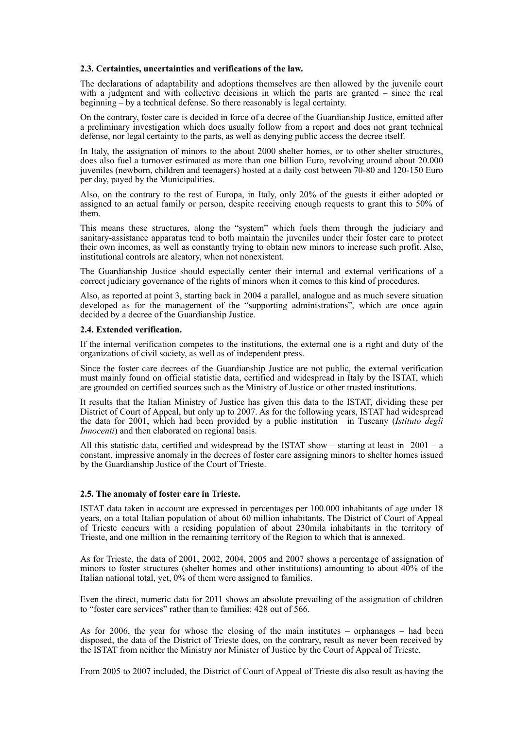## **2.3. Certainties, uncertainties and verifications of the law.**

The declarations of adaptability and adoptions themselves are then allowed by the juvenile court with a judgment and with collective decisions in which the parts are granted – since the real beginning – by a technical defense. So there reasonably is legal certainty.

On the contrary, foster care is decided in force of a decree of the Guardianship Justice, emitted after a preliminary investigation which does usually follow from a report and does not grant technical defense, nor legal certainty to the parts, as well as denying public access the decree itself.

In Italy, the assignation of minors to the about 2000 shelter homes, or to other shelter structures, does also fuel a turnover estimated as more than one billion Euro, revolving around about 20.000 juveniles (newborn, children and teenagers) hosted at a daily cost between 70-80 and 120-150 Euro per day, payed by the Municipalities.

Also, on the contrary to the rest of Europa, in Italy, only 20% of the guests it either adopted or assigned to an actual family or person, despite receiving enough requests to grant this to 50% of them.

This means these structures, along the "system" which fuels them through the judiciary and sanitary-assistance apparatus tend to both maintain the juveniles under their foster care to protect their own incomes, as well as constantly trying to obtain new minors to increase such profit. Also, institutional controls are aleatory, when not nonexistent.

The Guardianship Justice should especially center their internal and external verifications of a correct judiciary governance of the rights of minors when it comes to this kind of procedures.

Also, as reported at point 3, starting back in 2004 a parallel, analogue and as much severe situation developed as for the management of the "supporting administrations", which are once again decided by a decree of the Guardianship Justice.

## **2.4. Extended verification.**

If the internal verification competes to the institutions, the external one is a right and duty of the organizations of civil society, as well as of independent press.

Since the foster care decrees of the Guardianship Justice are not public, the external verification must mainly found on official statistic data, certified and widespread in Italy by the ISTAT, which are grounded on certified sources such as the Ministry of Justice or other trusted institutions.

It results that the Italian Ministry of Justice has given this data to the ISTAT, dividing these per District of Court of Appeal, but only up to 2007. As for the following years, ISTAT had widespread the data for 2001, which had been provided by a public institution in Tuscany (*Istituto degli Innocenti*) and then elaborated on regional basis.

All this statistic data, certified and widespread by the ISTAT show – starting at least in  $2001 - a$ constant, impressive anomaly in the decrees of foster care assigning minors to shelter homes issued by the Guardianship Justice of the Court of Trieste.

# **2.5. The anomaly of foster care in Trieste.**

ISTAT data taken in account are expressed in percentages per 100.000 inhabitants of age under 18 years, on a total Italian population of about 60 million inhabitants. The District of Court of Appeal of Trieste concurs with a residing population of about 230mila inhabitants in the territory of Trieste, and one million in the remaining territory of the Region to which that is annexed.

As for Trieste, the data of 2001, 2002, 2004, 2005 and 2007 shows a percentage of assignation of minors to foster structures (shelter homes and other institutions) amounting to about 40% of the Italian national total, yet, 0% of them were assigned to families.

Even the direct, numeric data for 2011 shows an absolute prevailing of the assignation of children to "foster care services" rather than to families: 428 out of 566.

As for 2006, the year for whose the closing of the main institutes – orphanages – had been disposed, the data of the District of Trieste does, on the contrary, result as never been received by the ISTAT from neither the Ministry nor Minister of Justice by the Court of Appeal of Trieste.

From 2005 to 2007 included, the District of Court of Appeal of Trieste dis also result as having the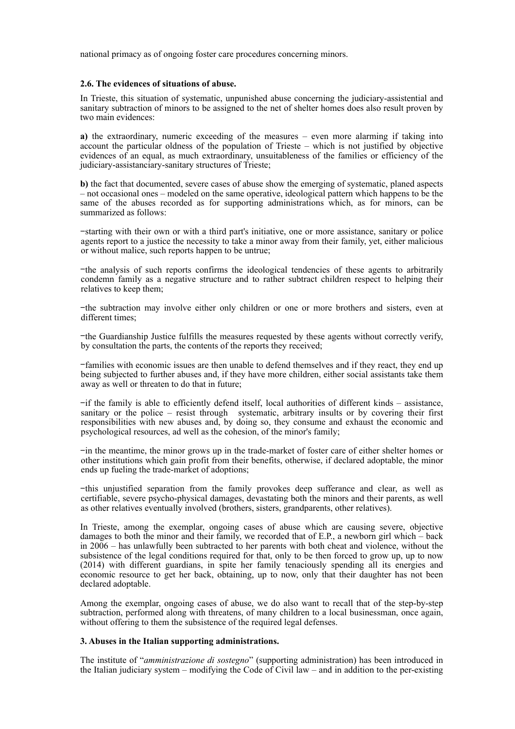national primacy as of ongoing foster care procedures concerning minors.

## **2.6. The evidences of situations of abuse.**

In Trieste, this situation of systematic, unpunished abuse concerning the judiciary-assistential and sanitary subtraction of minors to be assigned to the net of shelter homes does also result proven by two main evidences:

**a)** the extraordinary, numeric exceeding of the measures – even more alarming if taking into account the particular oldness of the population of Trieste – which is not justified by objective evidences of an equal, as much extraordinary, unsuitableness of the families or efficiency of the judiciary-assistanciary-sanitary structures of Trieste;

**b)** the fact that documented, severe cases of abuse show the emerging of systematic, planed aspects – not occasional ones – modeled on the same operative, ideological pattern which happens to be the same of the abuses recorded as for supporting administrations which, as for minors, can be summarized as follows:

−starting with their own or with a third part's initiative, one or more assistance, sanitary or police agents report to a justice the necessity to take a minor away from their family, yet, either malicious or without malice, such reports happen to be untrue;

−the analysis of such reports confirms the ideological tendencies of these agents to arbitrarily condemn family as a negative structure and to rather subtract children respect to helping their relatives to keep them;

−the subtraction may involve either only children or one or more brothers and sisters, even at different times;

−the Guardianship Justice fulfills the measures requested by these agents without correctly verify, by consultation the parts, the contents of the reports they received;

−families with economic issues are then unable to defend themselves and if they react, they end up being subjected to further abuses and, if they have more children, either social assistants take them away as well or threaten to do that in future;

−if the family is able to efficiently defend itself, local authorities of different kinds – assistance, sanitary or the police – resist through systematic, arbitrary insults or by covering their first responsibilities with new abuses and, by doing so, they consume and exhaust the economic and psychological resources, ad well as the cohesion, of the minor's family;

−in the meantime, the minor grows up in the trade-market of foster care of either shelter homes or other institutions which gain profit from their benefits, otherwise, if declared adoptable, the minor ends up fueling the trade-market of adoptions;

−this unjustified separation from the family provokes deep sufferance and clear, as well as certifiable, severe psycho-physical damages, devastating both the minors and their parents, as well as other relatives eventually involved (brothers, sisters, grandparents, other relatives).

In Trieste, among the exemplar, ongoing cases of abuse which are causing severe, objective damages to both the minor and their family, we recorded that of E.P., a newborn girl which – back in 2006 – has unlawfully been subtracted to her parents with both cheat and violence, without the subsistence of the legal conditions required for that, only to be then forced to grow up, up to now (2014) with different guardians, in spite her family tenaciously spending all its energies and economic resource to get her back, obtaining, up to now, only that their daughter has not been declared adoptable.

Among the exemplar, ongoing cases of abuse, we do also want to recall that of the step-by-step subtraction, performed along with threatens, of many children to a local businessman, once again, without offering to them the subsistence of the required legal defenses.

# **3. Abuses in the Italian supporting administrations.**

The institute of "*amministrazione di sostegno*" (supporting administration) has been introduced in the Italian judiciary system – modifying the Code of Civil  $law -$  and in addition to the per-existing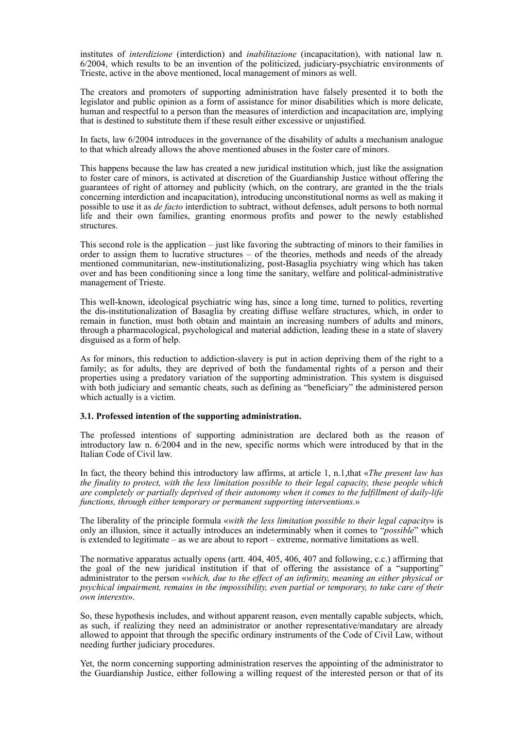institutes of *interdizione* (interdiction) and *inabilitazione* (incapacitation), with national law n. 6/2004, which results to be an invention of the politicized, judiciary-psychiatric environments of Trieste, active in the above mentioned, local management of minors as well.

The creators and promoters of supporting administration have falsely presented it to both the legislator and public opinion as a form of assistance for minor disabilities which is more delicate, human and respectful to a person than the measures of interdiction and incapacitation are, implying that is destined to substitute them if these result either excessive or unjustified.

In facts, law 6/2004 introduces in the governance of the disability of adults a mechanism analogue to that which already allows the above mentioned abuses in the foster care of minors.

This happens because the law has created a new juridical institution which, just like the assignation to foster care of minors, is activated at discretion of the Guardianship Justice without offering the guarantees of right of attorney and publicity (which, on the contrary, are granted in the the trials concerning interdiction and incapacitation), introducing unconstitutional norms as well as making it possible to use it as *de facto* interdiction to subtract, without defenses, adult persons to both normal life and their own families, granting enormous profits and power to the newly established structures.

This second role is the application – just like favoring the subtracting of minors to their families in order to assign them to lucrative structures – of the theories, methods and needs of the already mentioned communitarian, new-institutionalizing, post-Basaglia psychiatry wing which has taken over and has been conditioning since a long time the sanitary, welfare and political-administrative management of Trieste.

This well-known, ideological psychiatric wing has, since a long time, turned to politics, reverting the dis-institutionalization of Basaglia by creating diffuse welfare structures, which, in order to remain in function, must both obtain and maintain an increasing numbers of adults and minors, through a pharmacological, psychological and material addiction, leading these in a state of slavery disguised as a form of help.

As for minors, this reduction to addiction-slavery is put in action depriving them of the right to a family; as for adults, they are deprived of both the fundamental rights of a person and their properties using a predatory variation of the supporting administration. This system is disguised with both judiciary and semantic cheats, such as defining as "beneficiary" the administered person which actually is a victim.

# **3.1. Professed intention of the supporting administration.**

The professed intentions of supporting administration are declared both as the reason of introductory law n. 6/2004 and in the new, specific norms which were introduced by that in the Italian Code of Civil law.

In fact, the theory behind this introductory law affirms, at article 1, n.1,that «*The present law has the finality to protect, with the less limitation possible to their legal capacity, these people which are completely or partially deprived of their autonomy when it comes to the fulfillment of daily-life functions, through either temporary or permanent supporting interventions.*»

The liberality of the principle formula «*with the less limitation possible to their legal capacity*» is only an illusion, since it actually introduces an indeterminably when it comes to "*possible*" which is extended to legitimate – as we are about to report – extreme, normative limitations as well.

The normative apparatus actually opens (artt. 404, 405, 406, 407 and following, c.c.) affirming that the goal of the new juridical institution if that of offering the assistance of a "supporting" administrator to the person «*which, due to the effect of an infirmity, meaning an either physical or psychical impairment, remains in the impossibility, even partial or temporary, to take care of their own interests*».

So, these hypothesis includes, and without apparent reason, even mentally capable subjects, which, as such, if realizing they need an administrator or another representative/mandatary are already allowed to appoint that through the specific ordinary instruments of the Code of Civil Law, without needing further judiciary procedures.

Yet, the norm concerning supporting administration reserves the appointing of the administrator to the Guardianship Justice, either following a willing request of the interested person or that of its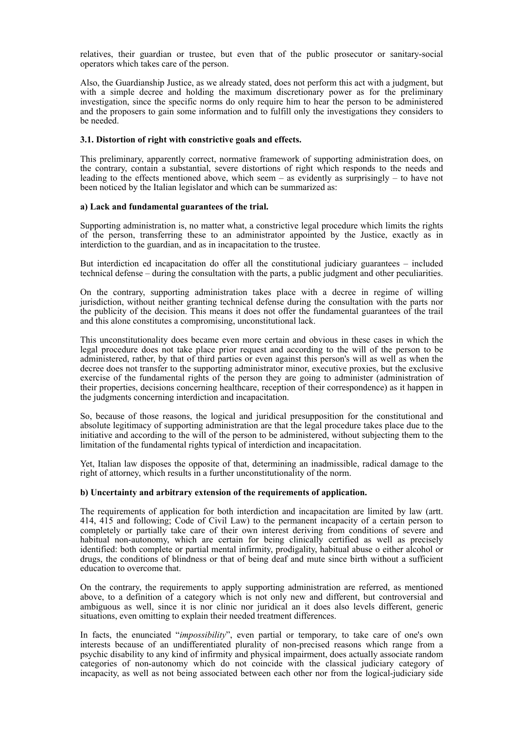relatives, their guardian or trustee, but even that of the public prosecutor or sanitary-social operators which takes care of the person.

Also, the Guardianship Justice, as we already stated, does not perform this act with a judgment, but with a simple decree and holding the maximum discretionary power as for the preliminary investigation, since the specific norms do only require him to hear the person to be administered and the proposers to gain some information and to fulfill only the investigations they considers to be needed.

# **3.1. Distortion of right with constrictive goals and effects.**

This preliminary, apparently correct, normative framework of supporting administration does, on the contrary, contain a substantial, severe distortions of right which responds to the needs and leading to the effects mentioned above, which seem – as evidently as surprisingly – to have not been noticed by the Italian legislator and which can be summarized as:

# **a) Lack and fundamental guarantees of the trial.**

Supporting administration is, no matter what, a constrictive legal procedure which limits the rights of the person, transferring these to an administrator appointed by the Justice, exactly as in interdiction to the guardian, and as in incapacitation to the trustee.

But interdiction ed incapacitation do offer all the constitutional judiciary guarantees – included technical defense – during the consultation with the parts, a public judgment and other peculiarities.

On the contrary, supporting administration takes place with a decree in regime of willing jurisdiction, without neither granting technical defense during the consultation with the parts nor the publicity of the decision. This means it does not offer the fundamental guarantees of the trail and this alone constitutes a compromising, unconstitutional lack.

This unconstitutionality does became even more certain and obvious in these cases in which the legal procedure does not take place prior request and according to the will of the person to be administered, rather, by that of third parties or even against this person's will as well as when the decree does not transfer to the supporting administrator minor, executive proxies, but the exclusive exercise of the fundamental rights of the person they are going to administer (administration of their properties, decisions concerning healthcare, reception of their correspondence) as it happen in the judgments concerning interdiction and incapacitation.

So, because of those reasons, the logical and juridical presupposition for the constitutional and absolute legitimacy of supporting administration are that the legal procedure takes place due to the initiative and according to the will of the person to be administered, without subjecting them to the limitation of the fundamental rights typical of interdiction and incapacitation.

Yet, Italian law disposes the opposite of that, determining an inadmissible, radical damage to the right of attorney, which results in a further unconstitutionality of the norm.

# **b) Uncertainty and arbitrary extension of the requirements of application.**

The requirements of application for both interdiction and incapacitation are limited by law (artt. 414, 415 and following; Code of Civil Law) to the permanent incapacity of a certain person to completely or partially take care of their own interest deriving from conditions of severe and habitual non-autonomy, which are certain for being clinically certified as well as precisely identified: both complete or partial mental infirmity, prodigality, habitual abuse o either alcohol or drugs, the conditions of blindness or that of being deaf and mute since birth without a sufficient education to overcome that.

On the contrary, the requirements to apply supporting administration are referred, as mentioned above, to a definition of a category which is not only new and different, but controversial and ambiguous as well, since it is nor clinic nor juridical an it does also levels different, generic situations, even omitting to explain their needed treatment differences.

In facts, the enunciated "*impossibility*", even partial or temporary, to take care of one's own interests because of an undifferentiated plurality of non-precised reasons which range from a psychic disability to any kind of infirmity and physical impairment, does actually associate random categories of non-autonomy which do not coincide with the classical judiciary category of incapacity, as well as not being associated between each other nor from the logical-judiciary side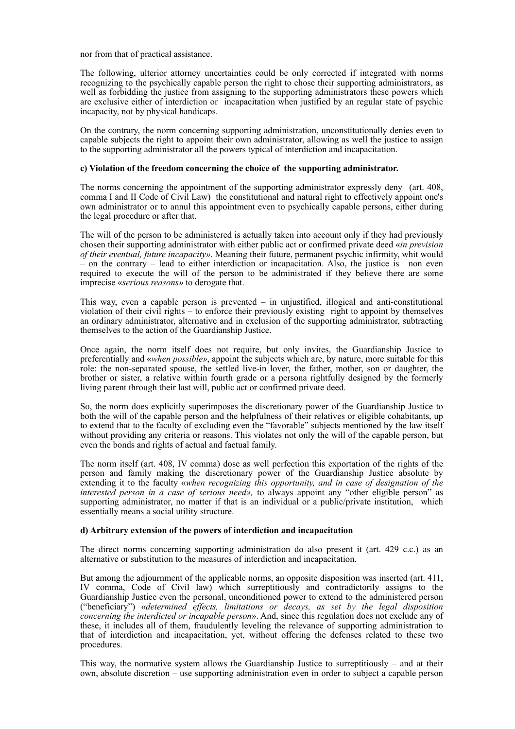nor from that of practical assistance.

The following, ulterior attorney uncertainties could be only corrected if integrated with norms recognizing to the psychically capable person the right to chose their supporting administrators, as well as forbidding the justice from assigning to the supporting administrators these powers which are exclusive either of interdiction or incapacitation when justified by an regular state of psychic incapacity, not by physical handicaps.

On the contrary, the norm concerning supporting administration, unconstitutionally denies even to capable subjects the right to appoint their own administrator, allowing as well the justice to assign to the supporting administrator all the powers typical of interdiction and incapacitation.

## **c) Violation of the freedom concerning the choice of the supporting administrator.**

The norms concerning the appointment of the supporting administrator expressly deny (art. 408, comma I and II Code of Civil Law) the constitutional and natural right to effectively appoint one's own administrator or to annul this appointment even to psychically capable persons, either during the legal procedure or after that.

The will of the person to be administered is actually taken into account only if they had previously chosen their supporting administrator with either public act or confirmed private deed «*in prevision of their eventual, future incapacity»*. Meaning their future, permanent psychic infirmity, whit would – on the contrary – lead to either interdiction or incapacitation. Also, the justice is non even required to execute the will of the person to be administrated if they believe there are some imprecise «*serious reasons»* to derogate that.

This way, even a capable person is prevented – in unjustified, illogical and anti-constitutional violation of their civil rights – to enforce their previously existing right to appoint by themselves an ordinary administrator, alternative and in exclusion of the supporting administrator, subtracting themselves to the action of the Guardianship Justice.

Once again, the norm itself does not require, but only invites, the Guardianship Justice to preferentially and «*when possible»*, appoint the subjects which are, by nature, more suitable for this role: the non-separated spouse, the settled live-in lover, the father, mother, son or daughter, the brother or sister, a relative within fourth grade or a persona rightfully designed by the formerly living parent through their last will, public act or confirmed private deed.

So, the norm does explicitly superimposes the discretionary power of the Guardianship Justice to both the will of the capable person and the helpfulness of their relatives or eligible cohabitants, up to extend that to the faculty of excluding even the "favorable" subjects mentioned by the law itself without providing any criteria or reasons. This violates not only the will of the capable person, but even the bonds and rights of actual and factual family.

The norm itself (art. 408, IV comma) dose as well perfection this exportation of the rights of the person and family making the discretionary power of the Guardianship Justice absolute by extending it to the faculty «*when recognizing this opportunity, and in case of designation of the interested person in a case of serious need»,* to always appoint any "other eligible person" as supporting administrator, no matter if that is an individual or a public/private institution, which essentially means a social utility structure.

#### **d) Arbitrary extension of the powers of interdiction and incapacitation**

The direct norms concerning supporting administration do also present it (art. 429 c.c.) as an alternative or substitution to the measures of interdiction and incapacitation.

But among the adjournment of the applicable norms, an opposite disposition was inserted (art. 411, IV comma, Code of Civil law) which surreptitiously and contradictorily assigns to the Guardianship Justice even the personal, unconditioned power to extend to the administered person ("beneficiary") «*determined effects, limitations or decays, as set by the legal disposition concerning the interdicted or incapable person*». And, since this regulation does not exclude any of these, it includes all of them, fraudulently leveling the relevance of supporting administration to that of interdiction and incapacitation, yet, without offering the defenses related to these two procedures.

This way, the normative system allows the Guardianship Justice to surreptitiously – and at their own, absolute discretion – use supporting administration even in order to subject a capable person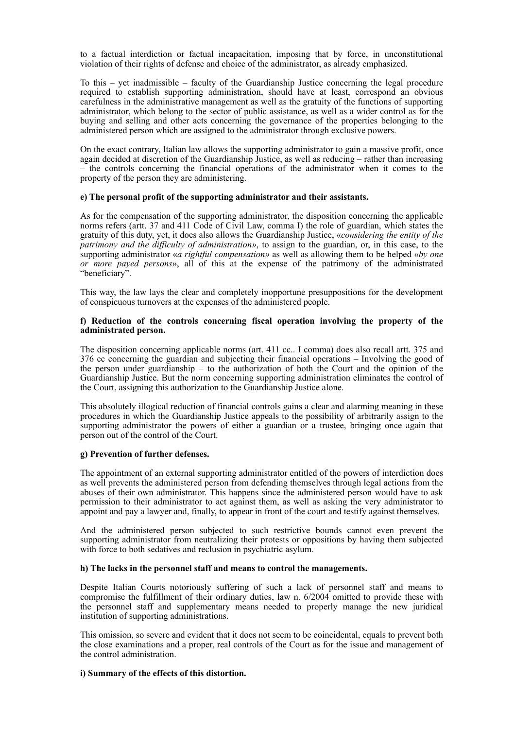to a factual interdiction or factual incapacitation, imposing that by force, in unconstitutional violation of their rights of defense and choice of the administrator, as already emphasized.

To this – yet inadmissible – faculty of the Guardianship Justice concerning the legal procedure required to establish supporting administration, should have at least, correspond an obvious carefulness in the administrative management as well as the gratuity of the functions of supporting administrator, which belong to the sector of public assistance, as well as a wider control as for the buying and selling and other acts concerning the governance of the properties belonging to the administered person which are assigned to the administrator through exclusive powers.

On the exact contrary, Italian law allows the supporting administrator to gain a massive profit, once again decided at discretion of the Guardianship Justice, as well as reducing – rather than increasing – the controls concerning the financial operations of the administrator when it comes to the property of the person they are administering.

# **e) The personal profit of the supporting administrator and their assistants.**

As for the compensation of the supporting administrator, the disposition concerning the applicable norms refers (artt. 37 and 411 Code of Civil Law, comma I) the role of guardian, which states the gratuity of this duty, yet, it does also allows the Guardianship Justice, «*considering the entity of the patrimony and the difficulty of administration»*, to assign to the guardian, or, in this case, to the supporting administrator «*a rightful compensation»* as well as allowing them to be helped «*by one or more payed persons*», all of this at the expense of the patrimony of the administrated "beneficiary".

This way, the law lays the clear and completely inopportune presuppositions for the development of conspicuous turnovers at the expenses of the administered people.

# **f) Reduction of the controls concerning fiscal operation involving the property of the administrated person.**

The disposition concerning applicable norms (art. 411 cc.. I comma) does also recall artt. 375 and 376 cc concerning the guardian and subjecting their financial operations – Involving the good of the person under guardianship – to the authorization of both the Court and the opinion of the Guardianship Justice. But the norm concerning supporting administration eliminates the control of the Court, assigning this authorization to the Guardianship Justice alone.

This absolutely illogical reduction of financial controls gains a clear and alarming meaning in these procedures in which the Guardianship Justice appeals to the possibility of arbitrarily assign to the supporting administrator the powers of either a guardian or a trustee, bringing once again that person out of the control of the Court.

# **g) Prevention of further defenses.**

The appointment of an external supporting administrator entitled of the powers of interdiction does as well prevents the administered person from defending themselves through legal actions from the abuses of their own administrator. This happens since the administered person would have to ask permission to their administrator to act against them, as well as asking the very administrator to appoint and pay a lawyer and, finally, to appear in front of the court and testify against themselves.

And the administered person subjected to such restrictive bounds cannot even prevent the supporting administrator from neutralizing their protests or oppositions by having them subjected with force to both sedatives and reclusion in psychiatric asylum.

#### **h) The lacks in the personnel staff and means to control the managements.**

Despite Italian Courts notoriously suffering of such a lack of personnel staff and means to compromise the fulfillment of their ordinary duties, law n. 6/2004 omitted to provide these with the personnel staff and supplementary means needed to properly manage the new juridical institution of supporting administrations.

This omission, so severe and evident that it does not seem to be coincidental, equals to prevent both the close examinations and a proper, real controls of the Court as for the issue and management of the control administration.

#### **i) Summary of the effects of this distortion.**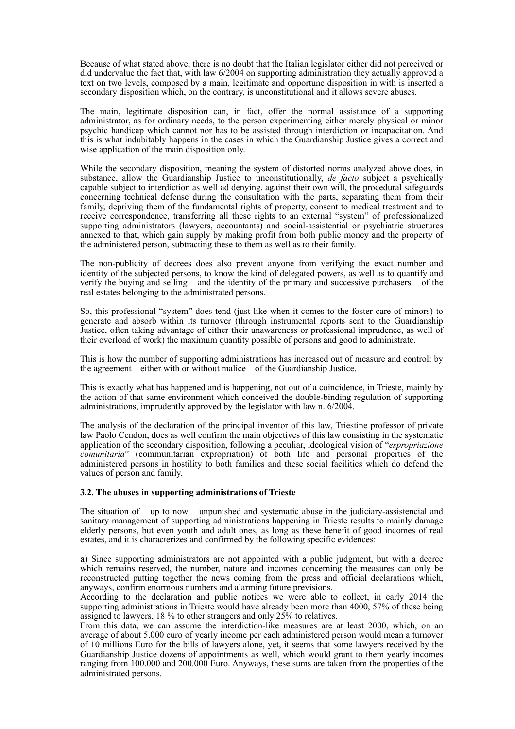Because of what stated above, there is no doubt that the Italian legislator either did not perceived or did undervalue the fact that, with law 6/2004 on supporting administration they actually approved a text on two levels, composed by a main, legitimate and opportune disposition in with is inserted a secondary disposition which, on the contrary, is unconstitutional and it allows severe abuses.

The main, legitimate disposition can, in fact, offer the normal assistance of a supporting administrator, as for ordinary needs, to the person experimenting either merely physical or minor psychic handicap which cannot nor has to be assisted through interdiction or incapacitation. And this is what indubitably happens in the cases in which the Guardianship Justice gives a correct and wise application of the main disposition only.

While the secondary disposition, meaning the system of distorted norms analyzed above does, in substance, allow the Guardianship Justice to unconstitutionally, *de facto* subject a psychically capable subject to interdiction as well ad denying, against their own will, the procedural safeguards concerning technical defense during the consultation with the parts, separating them from their family, depriving them of the fundamental rights of property, consent to medical treatment and to receive correspondence, transferring all these rights to an external "system" of professionalized supporting administrators (lawyers, accountants) and social-assistential or psychiatric structures annexed to that, which gain supply by making profit from both public money and the property of the administered person, subtracting these to them as well as to their family.

The non-publicity of decrees does also prevent anyone from verifying the exact number and identity of the subjected persons, to know the kind of delegated powers, as well as to quantify and verify the buying and selling – and the identity of the primary and successive purchasers – of the real estates belonging to the administrated persons.

So, this professional "system" does tend (just like when it comes to the foster care of minors) to generate and absorb within its turnover (through instrumental reports sent to the Guardianship Justice, often taking advantage of either their unawareness or professional imprudence, as well of their overload of work) the maximum quantity possible of persons and good to administrate.

This is how the number of supporting administrations has increased out of measure and control: by the agreement – either with or without malice – of the Guardianship Justice.

This is exactly what has happened and is happening, not out of a coincidence, in Trieste, mainly by the action of that same environment which conceived the double-binding regulation of supporting administrations, imprudently approved by the legislator with law n. 6/2004.

The analysis of the declaration of the principal inventor of this law, Triestine professor of private law Paolo Cendon, does as well confirm the main objectives of this law consisting in the systematic application of the secondary disposition, following a peculiar, ideological vision of "*espropriazione comunitaria*" (communitarian expropriation) of both life and personal properties of the administered persons in hostility to both families and these social facilities which do defend the values of person and family.

# **3.2. The abuses in supporting administrations of Trieste**

The situation of  $-$  up to now  $-$  unpunished and systematic abuse in the judiciary-assistencial and sanitary management of supporting administrations happening in Trieste results to mainly damage elderly persons, but even youth and adult ones, as long as these benefit of good incomes of real estates, and it is characterizes and confirmed by the following specific evidences:

**a)** Since supporting administrators are not appointed with a public judgment, but with a decree which remains reserved, the number, nature and incomes concerning the measures can only be reconstructed putting together the news coming from the press and official declarations which, anyways, confirm enormous numbers and alarming future previsions.

According to the declaration and public notices we were able to collect, in early 2014 the supporting administrations in Trieste would have already been more than 4000, 57% of these being assigned to lawyers, 18 % to other strangers and only 25% to relatives.

From this data, we can assume the interdiction-like measures are at least 2000, which, on an average of about 5.000 euro of yearly income per each administered person would mean a turnover of 10 millions Euro for the bills of lawyers alone, yet, it seems that some lawyers received by the Guardianship Justice dozens of appointments as well, which would grant to them yearly incomes ranging from 100.000 and 200.000 Euro. Anyways, these sums are taken from the properties of the administrated persons.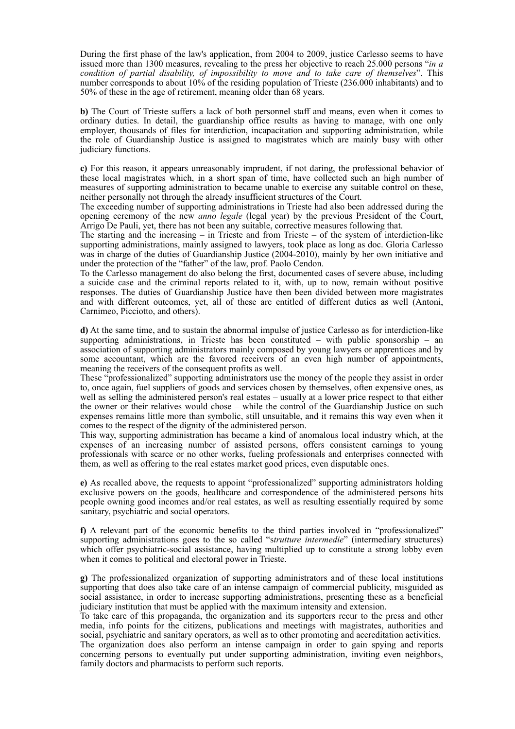During the first phase of the law's application, from 2004 to 2009, justice Carlesso seems to have issued more than 1300 measures, revealing to the press her objective to reach 25.000 persons "*in a condition of partial disability, of impossibility to move and to take care of themselves*". This number corresponds to about 10% of the residing population of Trieste (236.000 inhabitants) and to 50% of these in the age of retirement, meaning older than 68 years.

**b)** The Court of Trieste suffers a lack of both personnel staff and means, even when it comes to ordinary duties. In detail, the guardianship office results as having to manage, with one only employer, thousands of files for interdiction, incapacitation and supporting administration, while the role of Guardianship Justice is assigned to magistrates which are mainly busy with other judiciary functions.

**c)** For this reason, it appears unreasonably imprudent, if not daring, the professional behavior of these local magistrates which, in a short span of time, have collected such an high number of measures of supporting administration to became unable to exercise any suitable control on these, neither personally not through the already insufficient structures of the Court.

The exceeding number of supporting administrations in Trieste had also been addressed during the opening ceremony of the new *anno legale* (legal year) by the previous President of the Court, Arrigo De Pauli, yet, there has not been any suitable, corrective measures following that.

The starting and the increasing  $-$  in Trieste and from Trieste  $-$  of the system of interdiction-like supporting administrations, mainly assigned to lawyers, took place as long as doc. Gloria Carlesso was in charge of the duties of Guardianship Justice (2004-2010), mainly by her own initiative and under the protection of the "father" of the law, prof. Paolo Cendon.

To the Carlesso management do also belong the first, documented cases of severe abuse, including a suicide case and the criminal reports related to it, with, up to now, remain without positive responses. The duties of Guardianship Justice have then been divided between more magistrates and with different outcomes, yet, all of these are entitled of different duties as well (Antoni, Carnimeo, Picciotto, and others).

**d)** At the same time, and to sustain the abnormal impulse of justice Carlesso as for interdiction-like supporting administrations, in Trieste has been constituted – with public sponsorship – an association of supporting administrators mainly composed by young lawyers or apprentices and by some accountant, which are the favored receivers of an even high number of appointments, meaning the receivers of the consequent profits as well.

These "professionalized" supporting administrators use the money of the people they assist in order to, once again, fuel suppliers of goods and services chosen by themselves, often expensive ones, as well as selling the administered person's real estates – usually at a lower price respect to that either the owner or their relatives would chose – while the control of the Guardianship Justice on such expenses remains little more than symbolic, still unsuitable, and it remains this way even when it comes to the respect of the dignity of the administered person.

This way, supporting administration has became a kind of anomalous local industry which, at the expenses of an increasing number of assisted persons, offers consistent earnings to young professionals with scarce or no other works, fueling professionals and enterprises connected with them, as well as offering to the real estates market good prices, even disputable ones.

**e)** As recalled above, the requests to appoint "professionalized" supporting administrators holding exclusive powers on the goods, healthcare and correspondence of the administered persons hits people owning good incomes and/or real estates, as well as resulting essentially required by some sanitary, psychiatric and social operators.

**f)** A relevant part of the economic benefits to the third parties involved in "professionalized" supporting administrations goes to the so called "s*trutture intermedie*" (intermediary structures) which offer psychiatric-social assistance, having multiplied up to constitute a strong lobby even when it comes to political and electoral power in Trieste.

**g)** The professionalized organization of supporting administrators and of these local institutions supporting that does also take care of an intense campaign of commercial publicity, misguided as social assistance, in order to increase supporting administrations, presenting these as a beneficial judiciary institution that must be applied with the maximum intensity and extension.

To take care of this propaganda, the organization and its supporters recur to the press and other media, info points for the citizens, publications and meetings with magistrates, authorities and social, psychiatric and sanitary operators, as well as to other promoting and accreditation activities.

The organization does also perform an intense campaign in order to gain spying and reports concerning persons to eventually put under supporting administration, inviting even neighbors, family doctors and pharmacists to perform such reports.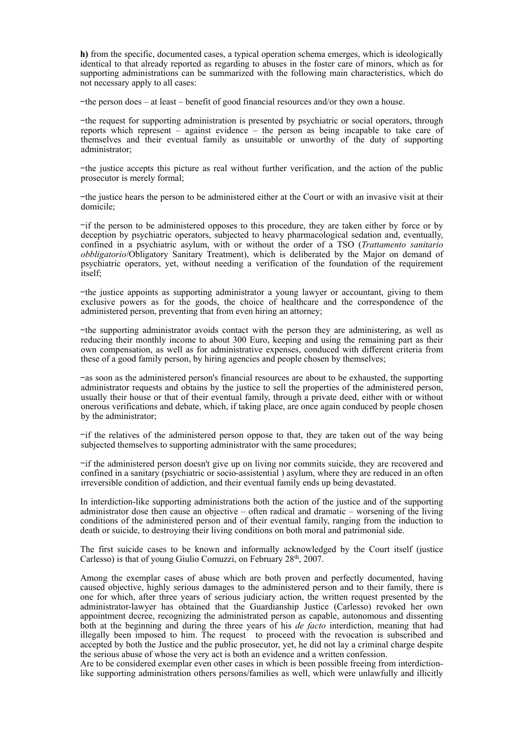**h)** from the specific, documented cases, a typical operation schema emerges, which is ideologically identical to that already reported as regarding to abuses in the foster care of minors, which as for supporting administrations can be summarized with the following main characteristics, which do not necessary apply to all cases:

−the person does – at least – benefit of good financial resources and/or they own a house.

−the request for supporting administration is presented by psychiatric or social operators, through reports which represent – against evidence – the person as being incapable to take care of themselves and their eventual family as unsuitable or unworthy of the duty of supporting administrator;

−the justice accepts this picture as real without further verification, and the action of the public prosecutor is merely formal;

−the justice hears the person to be administered either at the Court or with an invasive visit at their domicile;

−if the person to be administered opposes to this procedure, they are taken either by force or by deception by psychiatric operators, subjected to heavy pharmacological sedation and, eventually, confined in a psychiatric asylum, with or without the order of a TSO (*Trattamento sanitario obbligatorio*/Obligatory Sanitary Treatment), which is deliberated by the Major on demand of psychiatric operators, yet, without needing a verification of the foundation of the requirement itself;

−the justice appoints as supporting administrator a young lawyer or accountant, giving to them exclusive powers as for the goods, the choice of healthcare and the correspondence of the administered person, preventing that from even hiring an attorney;

−the supporting administrator avoids contact with the person they are administering, as well as reducing their monthly income to about 300 Euro, keeping and using the remaining part as their own compensation, as well as for administrative expenses, conduced with different criteria from these of a good family person, by hiring agencies and people chosen by themselves;

−as soon as the administered person's financial resources are about to be exhausted, the supporting administrator requests and obtains by the justice to sell the properties of the administered person, usually their house or that of their eventual family, through a private deed, either with or without onerous verifications and debate, which, if taking place, are once again conduced by people chosen by the administrator;

−if the relatives of the administered person oppose to that, they are taken out of the way being subjected themselves to supporting administrator with the same procedures;

−if the administered person doesn't give up on living nor commits suicide, they are recovered and confined in a sanitary (psychiatric or socio-assistential ) asylum, where they are reduced in an often irreversible condition of addiction, and their eventual family ends up being devastated.

In interdiction-like supporting administrations both the action of the justice and of the supporting administrator dose then cause an objective – often radical and dramatic – worsening of the living conditions of the administered person and of their eventual family, ranging from the induction to death or suicide, to destroying their living conditions on both moral and patrimonial side.

The first suicide cases to be known and informally acknowledged by the Court itself (justice Carlesso) is that of young Giulio Comuzzi, on February 28th, 2007.

Among the exemplar cases of abuse which are both proven and perfectly documented, having caused objective, highly serious damages to the administered person and to their family, there is one for which, after three years of serious judiciary action, the written request presented by the administrator-lawyer has obtained that the Guardianship Justice (Carlesso) revoked her own appointment decree, recognizing the administrated person as capable, autonomous and dissenting both at the beginning and during the three years of his *de facto* interdiction, meaning that had illegally been imposed to him. The request to proceed with the revocation is subscribed and accepted by both the Justice and the public prosecutor, yet, he did not lay a criminal charge despite the serious abuse of whose the very act is both an evidence and a written confession.

Are to be considered exemplar even other cases in which is been possible freeing from interdictionlike supporting administration others persons/families as well, which were unlawfully and illicitly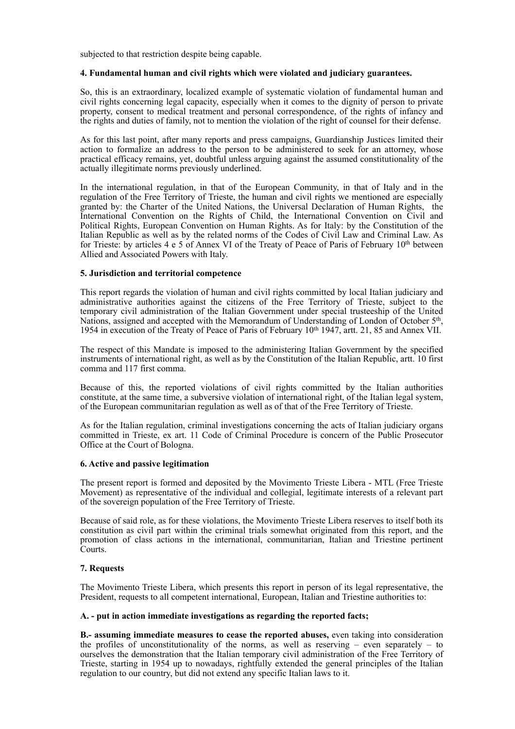subjected to that restriction despite being capable.

## **4. Fundamental human and civil rights which were violated and judiciary guarantees.**

So, this is an extraordinary, localized example of systematic violation of fundamental human and civil rights concerning legal capacity, especially when it comes to the dignity of person to private property, consent to medical treatment and personal correspondence, of the rights of infancy and the rights and duties of family, not to mention the violation of the right of counsel for their defense.

As for this last point, after many reports and press campaigns, Guardianship Justices limited their action to formalize an address to the person to be administered to seek for an attorney, whose practical efficacy remains, yet, doubtful unless arguing against the assumed constitutionality of the actually illegitimate norms previously underlined.

In the international regulation, in that of the European Community, in that of Italy and in the regulation of the Free Territory of Trieste, the human and civil rights we mentioned are especially granted by: the Charter of the United Nations, the Universal Declaration of Human Rights, the International Convention on the Rights of Child, the International Convention on Civil and Political Rights, European Convention on Human Rights. As for Italy: by the Constitution of the Italian Republic as well as by the related norms of the Codes of Civil Law and Criminal Law. As for Trieste: by articles 4 e 5 of Annex VI of the Treaty of Peace of Paris of February 10th between Allied and Associated Powers with Italy.

## **5. Jurisdiction and territorial competence**

This report regards the violation of human and civil rights committed by local Italian judiciary and administrative authorities against the citizens of the Free Territory of Trieste, subject to the temporary civil administration of the Italian Government under special trusteeship of the United Nations, assigned and accepted with the Memorandum of Understanding of London of October 5<sup>th</sup>, 1954 in execution of the Treaty of Peace of Paris of February 10th 1947, artt. 21, 85 and Annex VII.

The respect of this Mandate is imposed to the administering Italian Government by the specified instruments of international right, as well as by the Constitution of the Italian Republic, artt. 10 first comma and 117 first comma.

Because of this, the reported violations of civil rights committed by the Italian authorities constitute, at the same time, a subversive violation of international right, of the Italian legal system, of the European communitarian regulation as well as of that of the Free Territory of Trieste.

As for the Italian regulation, criminal investigations concerning the acts of Italian judiciary organs committed in Trieste, ex art. 11 Code of Criminal Procedure is concern of the Public Prosecutor Office at the Court of Bologna.

# **6. Active and passive legitimation**

The present report is formed and deposited by the Movimento Trieste Libera - MTL (Free Trieste Movement) as representative of the individual and collegial, legitimate interests of a relevant part of the sovereign population of the Free Territory of Trieste.

Because of said role, as for these violations, the Movimento Trieste Libera reserves to itself both its constitution as civil part within the criminal trials somewhat originated from this report, and the promotion of class actions in the international, communitarian, Italian and Triestine pertinent Courts.

# **7. Requests**

The Movimento Trieste Libera, which presents this report in person of its legal representative, the President, requests to all competent international, European, Italian and Triestine authorities to:

#### **A. - put in action immediate investigations as regarding the reported facts;**

**B.- assuming immediate measures to cease the reported abuses,** even taking into consideration the profiles of unconstitutionality of the norms, as well as reserving  $-$  even separately  $-$  to ourselves the demonstration that the Italian temporary civil administration of the Free Territory of Trieste, starting in 1954 up to nowadays, rightfully extended the general principles of the Italian regulation to our country, but did not extend any specific Italian laws to it.